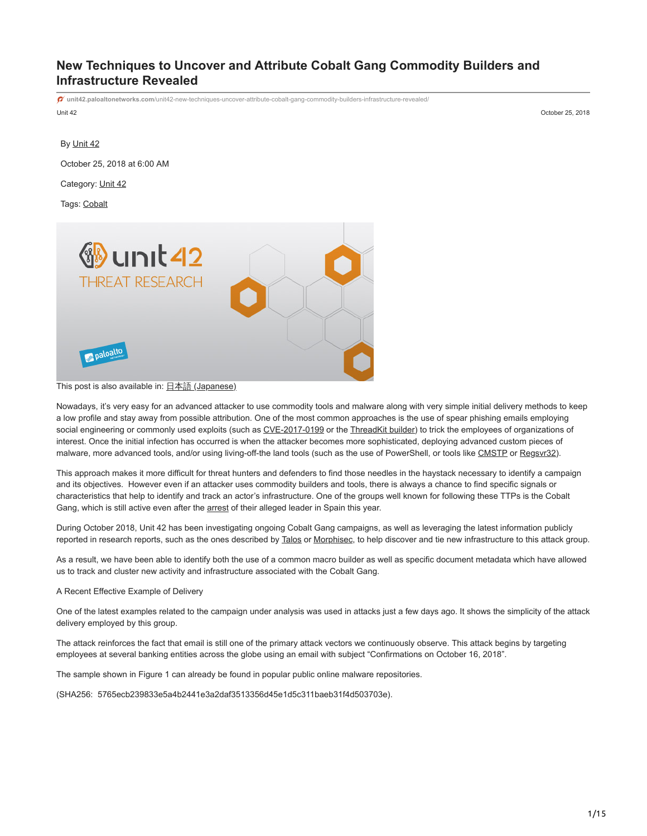# **New Techniques to Uncover and Attribute Cobalt Gang Commodity Builders and Infrastructure Revealed**

Unit 42 October 25, 2018 **unit42.paloaltonetworks.com**[/unit42-new-techniques-uncover-attribute-cobalt-gang-commodity-builders-infrastructure-revealed/](https://unit42.paloaltonetworks.com/unit42-new-techniques-uncover-attribute-cobalt-gang-commodity-builders-infrastructure-revealed/) By [Unit 42](https://unit42.paloaltonetworks.com/author/unit42/) October 25, 2018 at 6:00 AM Category: [Unit 42](https://unit42.paloaltonetworks.com/category/unit42/) Tags: [Cobalt](https://unit42.paloaltonetworks.com/tag/cobalt/)



# This post is also available in:  $\exists \overline{\text{#}} \exists$  [\(Japanese\)](https://unit42.paloaltonetworks.jp/unit42-new-techniques-uncover-attribute-cobalt-gang-commodity-builders-infrastructure-revealed/)

Nowadays, it's very easy for an advanced attacker to use commodity tools and malware along with very simple initial delivery methods to keep a low profile and stay away from possible attribution. One of the most common approaches is the use of spear phishing emails employing social engineering or commonly used exploits (such as [CVE-2017-0199](https://cve.mitre.org/cgi-bin/cvename.cgi?name=CVE-2017-0199) or the [ThreadKit builder](https://www.proofpoint.com/us/threat-insight/post/unraveling-ThreadKit-new-document-exploit-builder-distribute-The-Trick-Formbook-Loki-Bot-malware)) to trick the employees of organizations of interest. Once the initial infection has occurred is when the attacker becomes more sophisticated, deploying advanced custom pieces of malware, more advanced tools, and/or using living-off-the land tools (such as the use of PowerShell, or tools like [CMSTP](https://attack.mitre.org/wiki/Technique/T1191) or [Regsvr32](https://attack.mitre.org/wiki/Technique/T1117)).

This approach makes it more difficult for threat hunters and defenders to find those needles in the haystack necessary to identify a campaign and its objectives. However even if an attacker uses commodity builders and tools, there is always a chance to find specific signals or characteristics that help to identify and track an actor's infrastructure. One of the groups well known for following these TTPs is the Cobalt Gang, which is still active even after the [arrest](https://www.europol.europa.eu/newsroom/news/mastermind-behind-eur-1-billion-cyber-bank-robbery-arrested-in-spain) of their alleged leader in Spain this year.

During October 2018, Unit 42 has been investigating ongoing Cobalt Gang campaigns, as well as leveraging the latest information publicly reported in research reports, such as the ones described by [Talos](https://blog.talosintelligence.com/2018/07/multiple-cobalt-personality-disorder.html) or [Morphisec,](https://blog.morphisec.com/cobalt-gang-2.0) to help discover and tie new infrastructure to this attack group.

As a result, we have been able to identify both the use of a common macro builder as well as specific document metadata which have allowed us to track and cluster new activity and infrastructure associated with the Cobalt Gang.

A Recent Effective Example of Delivery

One of the latest examples related to the campaign under analysis was used in attacks just a few days ago. It shows the simplicity of the attack delivery employed by this group.

The attack reinforces the fact that email is still one of the primary attack vectors we continuously observe. This attack begins by targeting employees at several banking entities across the globe using an email with subject "Confirmations on October 16, 2018".

The sample shown in Figure 1 can already be found in popular public online malware repositories.

(SHA256: 5765ecb239833e5a4b2441e3a2daf3513356d45e1d5c311baeb31f4d503703e).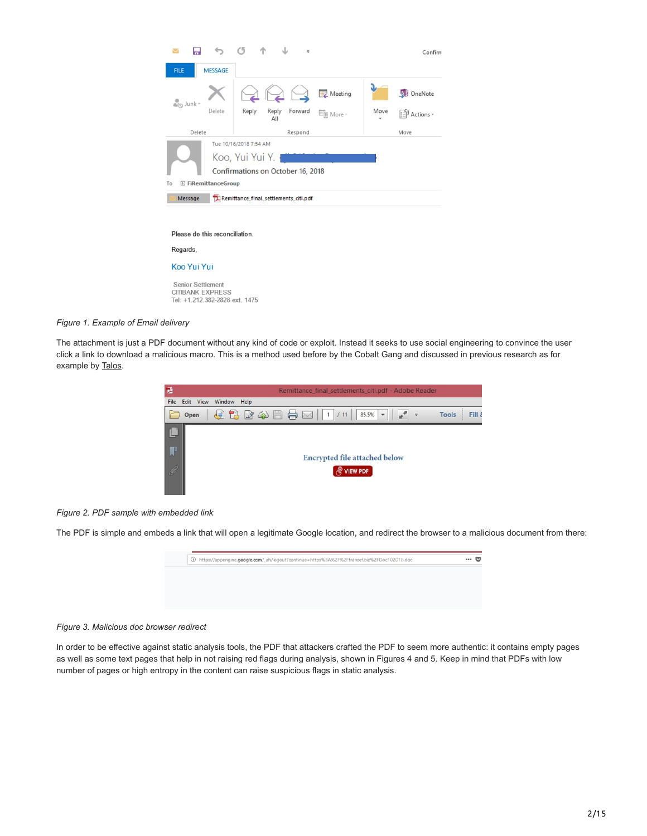

Please do this reconciliation. Regards, Koo Yui Yui Senior Settlement

CITIBANK EXPRESS Tel: +1.212.382-2828 ext. 1475

# *Figure 1. Example of Email delivery*

The attachment is just a PDF document without any kind of code or exploit. Instead it seeks to use social engineering to convince the user click a link to download a malicious macro. This is a method used before by the Cobalt Gang and discussed in previous research as for example by [Talos](https://blog.talosintelligence.com/2018/07/multiple-cobalt-personality-disorder.html).





The PDF is simple and embeds a link that will open a legitimate Google location, and redirect the browser to a malicious document from there:



# *Figure 3. Malicious doc browser redirect*

In order to be effective against static analysis tools, the PDF that attackers crafted the PDF to seem more authentic: it contains empty pages as well as some text pages that help in not raising red flags during analysis, shown in Figures 4 and 5. Keep in mind that PDFs with low number of pages or high entropy in the content can raise suspicious flags in static analysis.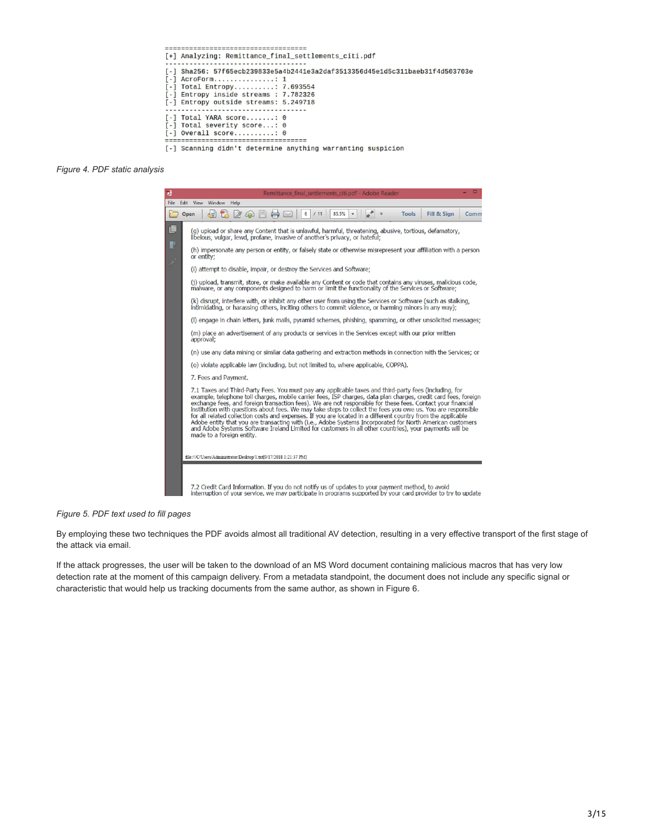

### *Figure 4. PDF static analysis*



#### *Figure 5. PDF text used to fill pages*

By employing these two techniques the PDF avoids almost all traditional AV detection, resulting in a very effective transport of the first stage of the attack via email.

If the attack progresses, the user will be taken to the download of an MS Word document containing malicious macros that has very low detection rate at the moment of this campaign delivery. From a metadata standpoint, the document does not include any specific signal or characteristic that would help us tracking documents from the same author, as shown in Figure 6.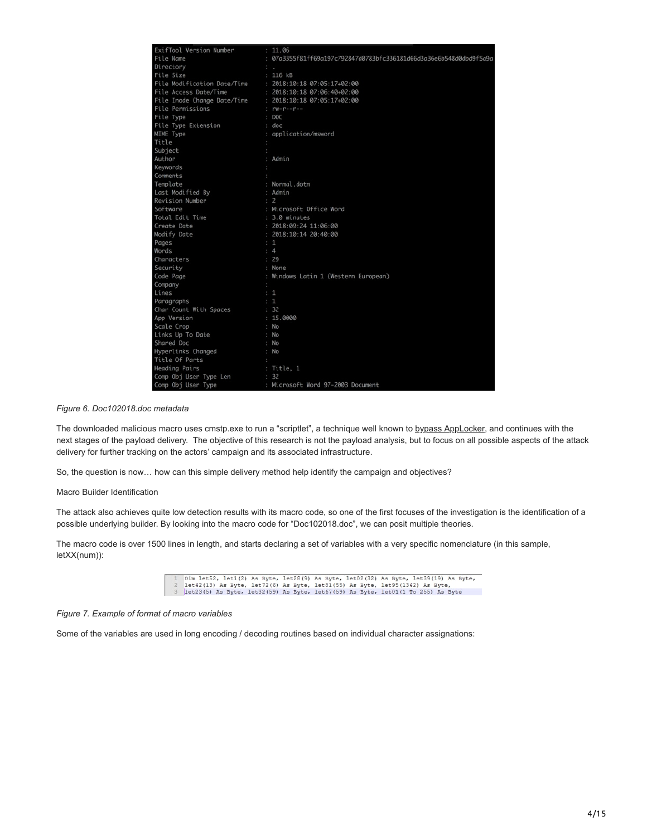| ExifTool Version Number                                 | : 11.06                                                            |
|---------------------------------------------------------|--------------------------------------------------------------------|
| File Name                                               | : 07a3355f81ff69a197c792847d0783bfc336181d66d3a36e6b548d0dbd9f5a9a |
|                                                         |                                                                    |
| Directory<br>File Size                                  | $\sim$<br>$: 116$ $kB$                                             |
| File Modification Date/Time                             |                                                                    |
|                                                         | : 2018:10:18 07:05:17+02:00                                        |
| File Access Date/Time                                   | : 2018:10:18 07:06:40+02:00                                        |
| File Inode Change Date/Time : 2018:10:18 07:05:17+02:00 |                                                                    |
| File Permissions                                        |                                                                    |
| File Type                                               | : DOC                                                              |
| File Type Extension                                     | : doc                                                              |
| MIME Type                                               | : application/msword                                               |
| Title                                                   |                                                                    |
| Subject                                                 |                                                                    |
| Author                                                  | : Admin                                                            |
| Keywords                                                |                                                                    |
| Comments                                                |                                                                    |
| Template                                                | : Normal.dotm                                                      |
| Last Modified By                                        | : Admin                                                            |
| Revision Number                                         | $\div$ 2                                                           |
| Software                                                | : Microsoft Office Word                                            |
| Total Edit Time                                         | : 3.0 minutes                                                      |
| Create Date                                             | : 2018:09:24 11:06:00                                              |
| Modify Date                                             | : 2018:10:14 20:40:00                                              |
| Pages                                                   | : 1                                                                |
| Words                                                   | : 4                                                                |
| Characters                                              | : 29                                                               |
| Security                                                | : None                                                             |
| Code Page                                               | : Windows Latin 1 (Western European)                               |
| Company<br>$\ddot{\phantom{0}}$                         |                                                                    |
| Lines                                                   | $\cdot$ 1                                                          |
| Paragraphs                                              | : 1                                                                |
| Char Count With Spaces                                  | : 32                                                               |
| App Version                                             | : 15.0000                                                          |
| Scale Crop                                              | : No                                                               |
| Links Up To Date                                        | : No                                                               |
| Shared Doc                                              | : No                                                               |
| Hyperlinks Changed                                      | : No                                                               |
| Title Of Parts                                          |                                                                    |
| Heading Pairs                                           | : Title, 1                                                         |
| Comp Obj User Type Len                                  | : 32                                                               |
| Comp Obj User Type                                      | : Microsoft Word 97-2003 Document                                  |

*Figure 6. Doc102018.doc metadata*

The downloaded malicious macro uses cmstp.exe to run a "scriptlet", a technique well known to [bypass AppLocker,](https://attack.mitre.org/wiki/Technique/T1191) and continues with the next stages of the payload delivery. The objective of this research is not the payload analysis, but to focus on all possible aspects of the attack delivery for further tracking on the actors' campaign and its associated infrastructure.

So, the question is now… how can this simple delivery method help identify the campaign and objectives?

Macro Builder Identification

The attack also achieves quite low detection results with its macro code, so one of the first focuses of the investigation is the identification of a possible underlying builder. By looking into the macro code for "Doc102018.doc", we can posit multiple theories.

The macro code is over 1500 lines in length, and starts declaring a set of variables with a very specific nomenclature (in this sample, letXX(num)):

1 Dim 1et52, 1et1(2) As Byte, 1et28(9) As Byte, 1et02(32) As Byte, 1et39(19) As Byte, 1et42(13) As Byte, 1et72(6) As Byte, 1et31(55) As Byte, 1et53(1342) As Byte,  $\frac{3}{2}$  as Byte, 1et23(5) As Byte, 1et23(59) As Byte, 1e

#### *Figure 7. Example of format of macro variables*

Some of the variables are used in long encoding / decoding routines based on individual character assignations: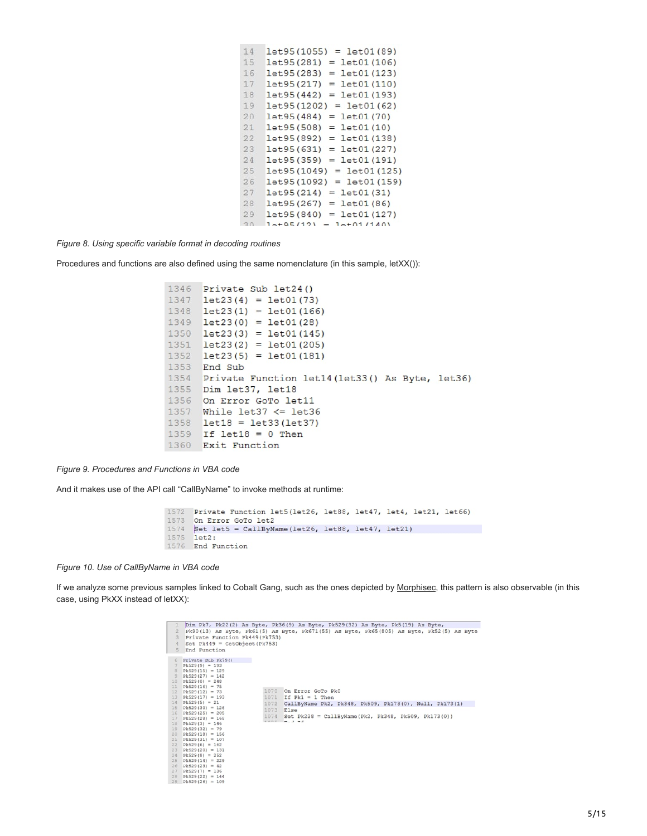| 14 | $=$ let $01(89)$<br>let 95 (1055) |
|----|-----------------------------------|
| 15 | $=$ $let01(106)$<br>let 95 (281)  |
| 16 | $=$ $let01(123)$<br>let 95 (283)  |
| 17 | $=$ $let01(110)$<br>let95(217)    |
| 18 | let95(442)<br>$=$ $let01(193)$    |
| 19 | $=$ 1et01(62)<br>let 95 (1202)    |
| 20 | $=$ $let01(70)$<br>let 95 (484)   |
| 21 | let95(508)<br>$=$ let $01(10)$    |
| 22 | let 95 (892)<br>$=$ $let01(138)$  |
| 23 | let 95 (631)<br>$=$ $let01(227)$  |
| 24 | let 95 (359)<br>$=$ $let01(191)$  |
| 25 | $=$ 1et01 (125)<br>let 95 (1049)  |
| 26 | let 95 (1092)<br>$=$ 1et01(159)   |
| 27 | let95(214)<br>$=$ let $01(31)$    |
| 28 | $=$ let $01(86)$<br>let95 (267)   |
| 29 | $=$ $let01(127)$<br>let95(840)    |
| 20 | $= 1 + 01/1401$<br>$1a+05/121$    |

*Figure 8. Using specific variable format in decoding routines*

Procedures and functions are also defined using the same nomenclature (in this sample, letXX()):

```
1346 Private Sub let24()
1347 let23(4) = let01(73)1348 let 23(1) = let 01(166)1349 let23(0) = let01(28)1350 let23(3) = let01(145)1351 let23(2) = let01(205)1352 let23(5) = let01(181)1353 End Sub
1354 Private Function let14 (let33() As Byte, let36)
1355 Dim let37, let18
1356 On Error GoTo let11
1357 While let37 \le let36
1358 let18 = let33(let37)1359 If let18 = 0 Then
1360 Exit Function
```
*Figure 9. Procedures and Functions in VBA code*

And it makes use of the API call "CallByName" to invoke methods at runtime:

```
1572 Private Function let5(let26, let88, let47, let4, let21, let66)
1573 On Error GoTo let2
1574 Set let5 = CallByName(let26, let88, let47, let21)
1575 let2:
1576 End Function
```
*Figure 10. Use of CallByName in VBA code*

If we analyze some previous samples linked to Cobalt Gang, such as the ones depicted by [Morphisec](https://blog.morphisec.com/cobalt-gang-2.0), this pattern is also observable (in this case, using PkXX instead of letXX):

|                       |                                      |      | Dim Pk7, Pk22(2) As Byte, Pk36(9) As Byte, Pk529(32) As Byte, Pk5(19) As Byte,           |
|-----------------------|--------------------------------------|------|------------------------------------------------------------------------------------------|
|                       |                                      |      | Pk90(13) As Byte, Pk61(5) As Byte, Pk671(55) As Byte, Pk65(805) As Byte, Pk52(5) As Byte |
| 3                     | Private Function Pk449 (Pk753)       |      |                                                                                          |
| 4                     | Set $PK449 = GetObject(Pk753)$       |      |                                                                                          |
| 5                     | End Function                         |      |                                                                                          |
|                       |                                      |      |                                                                                          |
| 6                     | Private Sub Pk79()                   |      |                                                                                          |
|                       | $pk529(9) = 193$                     |      |                                                                                          |
| B                     | $Pk529(15) = 129$                    |      |                                                                                          |
| 9                     | $Pk529(27) = 142$                    |      |                                                                                          |
| 10                    | $PK529(0) = 248$                     |      |                                                                                          |
| 11                    | $pk529(16) = 75$                     |      |                                                                                          |
| 12                    | $PK529(12) = 73$                     |      | 1070 On Error GoTo Pk0                                                                   |
| 13                    | $PK529(17) = 193$                    | 1071 | If $Pk1 = 1$ Then                                                                        |
| 14                    | $PK529(5) = 21$                      | 1072 | CallByName Pk2, Pk348, Pk509, Pk173(0), Null, Pk173(1)                                   |
| 15                    | $pk529(30) = 126$                    | 1073 | Else                                                                                     |
| 16                    | $pk529(25) = 205$                    | 1074 | Set $Pk228 = CallByName(Pk2, PK348, PK509, PK173(0))$                                    |
| 17                    | $pk529(28) = 168$                    | 4777 | $m_{12}$ $\Delta$ $m_{12}$                                                               |
| 18                    | $pk529(3) = 146$                     |      |                                                                                          |
| 19                    | $Pk529(32) = 79$                     |      |                                                                                          |
| 20                    | $pk529(18) = 156$                    |      |                                                                                          |
| 21                    | $PK529(31) = 107$                    |      |                                                                                          |
| 22                    | $pk529(6) = 162$                     |      |                                                                                          |
| 23                    | $PK529(20) = 131$                    |      |                                                                                          |
| 24                    | $PK529(8) = 252$                     |      |                                                                                          |
| 25                    | $Pk529(14) = 229$                    |      |                                                                                          |
| 26 <sup>°</sup><br>27 | $PK529(23) = 42$<br>$PK529(7) = 136$ |      |                                                                                          |
| 28                    | $Pk529(22) = 144$                    |      |                                                                                          |
| 29                    | $pk529(26) = 109$                    |      |                                                                                          |
|                       |                                      |      |                                                                                          |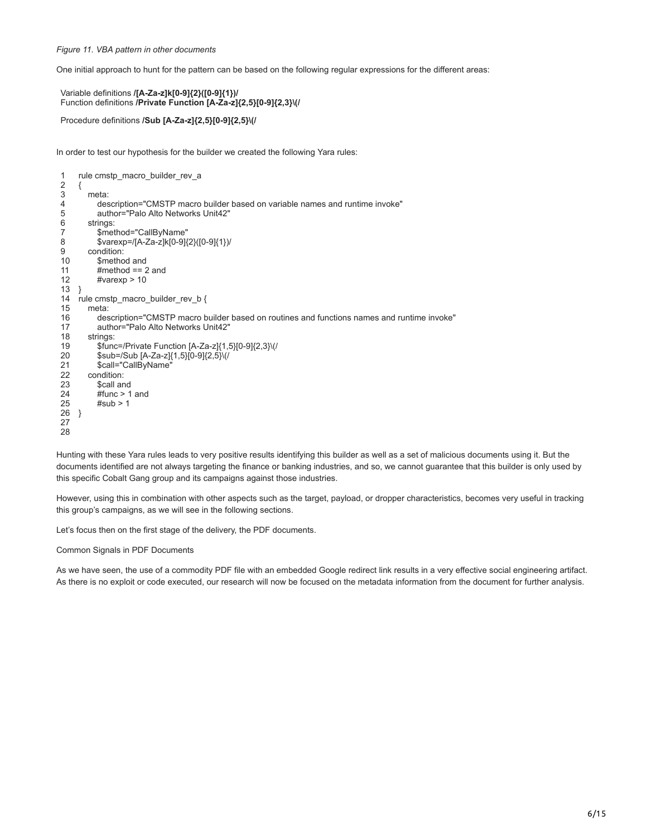# *Figure 11. VBA pattern in other documents*

One initial approach to hunt for the pattern can be based on the following regular expressions for the different areas:

```
Variable definitions /[A-Za-z]k[0-9]{2}([0-9]{1})/
Function definitions /Private Function [A-Za-z]{2,5}[0-9]{2,3}\(/
```

```
Procedure definitions /Sub [A-Za-z]{2,5}[0-9]{2,5}\(/
```
In order to test our hypothesis for the builder we created the following Yara rules:

```
1
2
3
4
5
6
7
8
9
10
11
12
13
}
14
rule cmstp_macro_builder_rev_b {
15
16
17
18
19
20
21
22
23
24
25
26
}
27
28
    rule cmstp_macro_builder_rev_a
    {
        meta:
          description="CMSTP macro builder based on variable names and runtime invoke"
          author="Palo Alto Networks Unit42"
        strings:
          $method="CallByName"
          $varexp=/[A-Za-z]k[0-9]{2}([0-9]{1})/
        condition:
          $method and
          #method == 2 and
          #varexp > 10
        meta:
          description="CMSTP macro builder based on routines and functions names and runtime invoke"
          author="Palo Alto Networks Unit42"
        strings:
          $func=/Private Function [A-Za-z]{1,5}[0-9]{2,3}\(/
          $sub=/Sub [A-Za-z]{1,5}[0-9]{2,5}\(/
          $call="CallByName"
        condition:
          $call and
          #func > 1 and
         #sub > 1
```
Hunting with these Yara rules leads to very positive results identifying this builder as well as a set of malicious documents using it. But the documents identified are not always targeting the finance or banking industries, and so, we cannot guarantee that this builder is only used by this specific Cobalt Gang group and its campaigns against those industries.

However, using this in combination with other aspects such as the target, payload, or dropper characteristics, becomes very useful in tracking this group's campaigns, as we will see in the following sections.

Let's focus then on the first stage of the delivery, the PDF documents.

Common Signals in PDF Documents

As we have seen, the use of a commodity PDF file with an embedded Google redirect link results in a very effective social engineering artifact. As there is no exploit or code executed, our research will now be focused on the metadata information from the document for further analysis.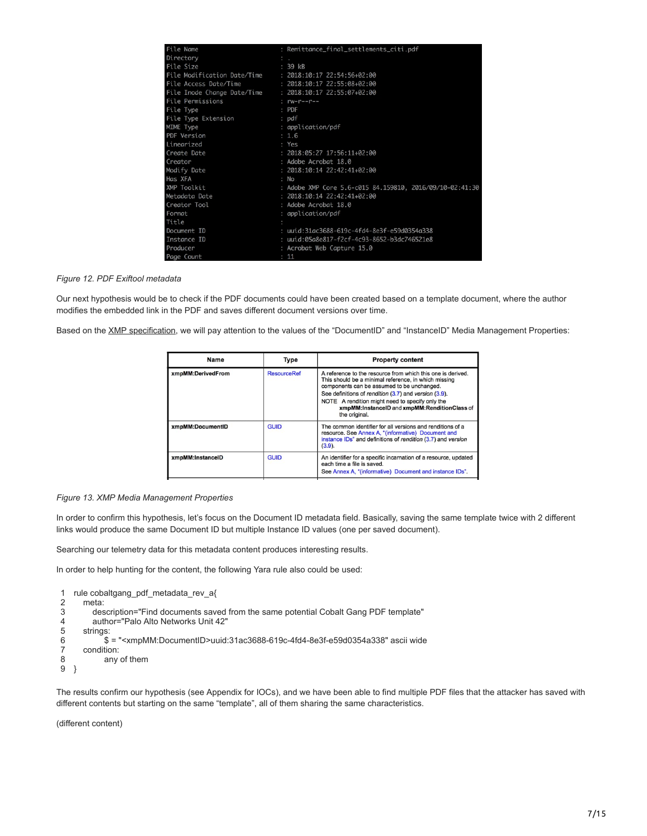| File Name             | : Remittance_final_settlements_citi.pdf                  |
|-----------------------|----------------------------------------------------------|
| Directory             |                                                          |
| File Size             | $: 39$ $kB$                                              |
|                       | File Modification Date/Time : 2018:10:17 22:54:56+02:00  |
| File Access Date/Time | : 2018:10:17 22:55:08+02:00                              |
|                       | File Inode Change Date/Time : 2018:10:17 22:55:07+02:00  |
| File Permissions      | $rw-r-r-r-$                                              |
| File Type             | $:$ PDF                                                  |
| File Type Extension   | $:$ $pdf$                                                |
| MIME Type             | : application/pdf                                        |
| PDF Version           | : 1.6                                                    |
| Linearized            | : Yes                                                    |
| Create Date           | $: 2018:05:27 17:56:11+02:00$                            |
| Creator               | : Adobe Acrobat 18.0                                     |
| Modify Date           | $: 2018:10:14 22:42:41+02:00$                            |
| Has XFA               | : No                                                     |
| XMP Toolkit           | : Adobe XMP Core 5.6-c015 84.159810, 2016/09/10-02:41:30 |
| Metadata Date         | $: 2018:10:14 22:42:41+02:00$                            |
| Creator Tool          | : Adobe Acrobat 18.0                                     |
| Format                | : application/pdf                                        |
| Title                 |                                                          |
| Document ID           | : uuid:31ac3688-619c-4fd4-8e3f-e59d0354a338              |
| Instance ID           | : uuid:05a8e817-f2cf-4c93-8652-b3dc746521e8              |
| Producer              | : Acrobat Web Capture 15.0                               |
| Page Count            | : 11                                                     |

# *Figure 12. PDF Exiftool metadata*

Our next hypothesis would be to check if the PDF documents could have been created based on a template document, where the author modifies the embedded link in the PDF and saves different document versions over time.

Based on the [XMP specification](https://wwwimages2.adobe.com/content/dam/acom/en/devnet/xmp/pdfs/XMP%20SDK%20Release%20cc-2016-08/XMPSpecificationPart1.pdf), we will pay attention to the values of the "DocumentID" and "InstanceID" Media Management Properties:

| Name              | Type               | <b>Property content</b>                                                                                                                                                                                                                                                                                                                        |
|-------------------|--------------------|------------------------------------------------------------------------------------------------------------------------------------------------------------------------------------------------------------------------------------------------------------------------------------------------------------------------------------------------|
| xmpMM:DerivedFrom | <b>ResourceRef</b> | A reference to the resource from which this one is derived.<br>This should be a minimal reference, in which missing<br>components can be assumed to be unchanged.<br>See definitions of rendition (3.7) and version (3.9).<br>NOTE A rendition might need to specify only the<br>xmpMM:InstanceID and xmpMM:RenditionClass of<br>the original. |
| xmpMM:DocumentID  | GUID               | The common identifier for all versions and renditions of a<br>resource. See Annex A, "(informative) Document and<br>instance IDs" and definitions of rendition (3.7) and version<br>$(3.9)$ .                                                                                                                                                  |
| xmpMM:InstanceID  | <b>GUID</b>        | An identifier for a specific incarnation of a resource, updated<br>each time a file is saved.<br>See Annex A. "(informative) Document and instance IDs".                                                                                                                                                                                       |
|                   |                    |                                                                                                                                                                                                                                                                                                                                                |

# *Figure 13. XMP Media Management Properties*

In order to confirm this hypothesis, let's focus on the Document ID metadata field. Basically, saving the same template twice with 2 different links would produce the same Document ID but multiple Instance ID values (one per saved document).

Searching our telemetry data for this metadata content produces interesting results.

In order to help hunting for the content, the following Yara rule also could be used:

- 1 rule cobaltgang\_pdf\_metadata\_rev\_a{
- 2 meta:
- 3 description="Find documents saved from the same potential Cobalt Gang PDF template"
- 4 author="Palo Alto Networks Unit 42"
- 5 strings:
- 6 \$ = "<xmpMM:DocumentID>uuid:31ac3688-619c-4fd4-8e3f-e59d0354a338" ascii wide
- 7 condition:
- 8 any of them
- 9 }

The results confirm our hypothesis (see Appendix for IOCs), and we have been able to find multiple PDF files that the attacker has saved with different contents but starting on the same "template", all of them sharing the same characteristics.

(different content)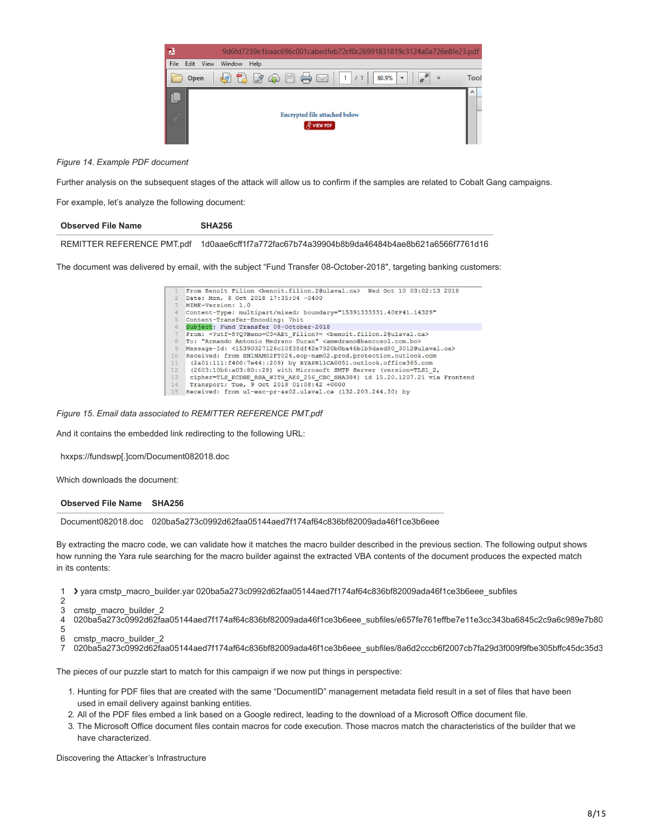

*Figure 14. Example PDF document*

Further analysis on the subsequent stages of the attack will allow us to confirm if the samples are related to Cobalt Gang campaigns.

For example, let's analyze the following document:

| <b>Observed File Name</b> | SHA256                                                                                      |
|---------------------------|---------------------------------------------------------------------------------------------|
|                           | REMITTER REFERENCE PMT.pdf 1d0aae6cff1f7a772fac67b74a39904b8b9da46484b4ae8b621a6566f7761d16 |

The document was delivered by email, with the subject "Fund Transfer 08-October-2018", targeting banking customers:

|                | From Benoît Filion<br>Cenoit.filion.2@ulaval.ca> Wed Oct 10 03:02:13 2018                    |
|----------------|----------------------------------------------------------------------------------------------|
|                | Date: Mon, 8 Oct 2018 17:35:04 -0400                                                         |
| 3              | MIME-Version: 1.0                                                                            |
| $\overline{4}$ | Content-Type: multipart/mixed; boundary="15391333331.40EF41.14329"                           |
| 5              | Content-Transfer-Encoding: 7bit                                                              |
| 6              | Subject: Fund Transfer 08-October-2018                                                       |
| 7              | From: =?utf-8?Q?Beno=C3=AEt Filion?= <benoit.filion.2@ulaval.ca></benoit.filion.2@ulaval.ca> |
| 8              | To: "Armando Antonio Medrano Duran" <amedrano@bancosol.com.bo></amedrano@bancosol.com.bo>    |
| $\overline{9}$ | Messaqe-Id: <15390327126c10f38df42e7920b0ba46b1b9daed80 3012@ulaval.ca>                      |
| 10             | Received: from SN1NAM02FT024.eop-nam02.prod.protection.outlook.com                           |
| 11             | (2a01:111:f400:7e44::209) by BYAPR11CA0051.outlook.office365.com                             |
| 12             | (2603:10b6:a03:80::28) with Microsoft SMTP Server (version=TLS1 2,                           |
| 13             | cipher=TLS ECDHE RSA WITH AES 256 CBC SHA384) id 15.20.1207.21 via Frontend                  |
| 14             | Transport; Tue, 9 Oct 2018 01:08:42 +0000                                                    |
| 15             | Received: from ul-exc-pr-as02.ulaval.ca (132.203.244.30) by                                  |

# *Figure 15. Email data associated to REMITTER REFERENCE PMT.pdf*

And it contains the embedded link redirecting to the following URL:

hxxps://fundswp[.]com/Document082018.doc

Which downloads the document:

#### **Observed File Name SHA256**

Document082018.doc 020ba5a273c0992d62faa05144aed7f174af64c836bf82009ada46f1ce3b6eee

By extracting the macro code, we can validate how it matches the macro builder described in the previous section. The following output shows how running the Yara rule searching for the macro builder against the extracted VBA contents of the document produces the expected match in its contents:

1 ❯ yara cmstp\_macro\_builder.yar 020ba5a273c0992d62faa05144aed7f174af64c836bf82009ada46f1ce3b6eee\_subfiles

- 2 3 cmstp\_macro\_builder\_2
- 4 020ba5a273c0992d62faa05144aed7f174af64c836bf82009ada46f1ce3b6eee\_subfiles/e657fe761effbe7e11e3cc343ba6845c2c9a6c989e7b80
- 5
- 6 cmstp\_macro\_builder\_2
- 7 020ba5a273c0992d62faa05144aed7f174af64c836bf82009ada46f1ce3b6eee\_subfiles/8a6d2cccb6f2007cb7fa29d3f009f9fbe305bffc45dc35d3

The pieces of our puzzle start to match for this campaign if we now put things in perspective:

- 1. Hunting for PDF files that are created with the same "DocumentID" management metadata field result in a set of files that have been used in email delivery against banking entities.
- 2. All of the PDF files embed a link based on a Google redirect, leading to the download of a Microsoft Office document file.
- 3. The Microsoft Office document files contain macros for code execution. Those macros match the characteristics of the builder that we have characterized.

Discovering the Attacker's Infrastructure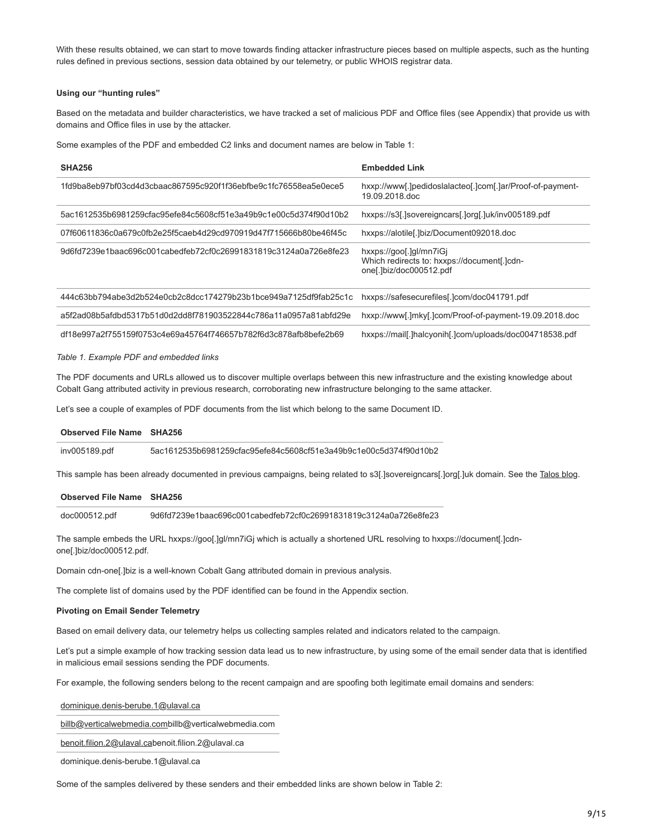With these results obtained, we can start to move towards finding attacker infrastructure pieces based on multiple aspects, such as the hunting rules defined in previous sections, session data obtained by our telemetry, or public WHOIS registrar data.

### **Using our "hunting rules"**

Based on the metadata and builder characteristics, we have tracked a set of malicious PDF and Office files (see Appendix) that provide us with domains and Office files in use by the attacker.

Some examples of the PDF and embedded C2 links and document names are below in Table 1:

| <b>SHA256</b>                                                    | <b>Embedded Link</b>                                                                              |
|------------------------------------------------------------------|---------------------------------------------------------------------------------------------------|
| 1fd9ba8eb97bf03cd4d3cbaac867595c920f1f36ebfbe9c1fc76558ea5e0ece5 | hxxp://www[.]pedidoslalacteo[.]com[.]ar/Proof-of-payment-<br>19.09.2018.doc                       |
| 5ac1612535b6981259cfac95efe84c5608cf51e3a49b9c1e00c5d374f90d10b2 | hxxps://s3[.]sovereigncars[.]org[.]uk/inv005189.pdf                                               |
| 07f60611836c0a679c0fb2e25f5caeb4d29cd970919d47f715666b80be46f45c | hxxps://alotile[.]biz/Document092018.doc                                                          |
| 9d6fd7239e1baac696c001cabedfeb72cf0c26991831819c3124a0a726e8fe23 | hxxps://goo[.]gl/mn7iGi<br>Which redirects to: hxxps://document[.]cdn-<br>one[.]biz/doc000512.pdf |
| 444c63bb794abe3d2b524e0cb2c8dcc174279b23b1bce949a7125df9fab25c1c | hxxps://safesecurefiles[.]com/doc041791.pdf                                                       |
| a5f2ad08b5afdbd5317b51d0d2dd8f781903522844c786a11a0957a81abfd29e | hxxp://www[.]mky[.]com/Proof-of-payment-19.09.2018.doc                                            |
|                                                                  |                                                                                                   |

df18e997a2f755159f0753c4e69a45764f746657b782f6d3c878afb8befe2b69 hxxps://mail[.]halcyonih[.]com/uploads/doc004718538.pdf

#### *Table 1. Example PDF and embedded links*

The PDF documents and URLs allowed us to discover multiple overlaps between this new infrastructure and the existing knowledge about Cobalt Gang attributed activity in previous research, corroborating new infrastructure belonging to the same attacker.

Let's see a couple of examples of PDF documents from the list which belong to the same Document ID.

### **Observed File Name SHA256**

inv005189.pdf 5ac1612535b6981259cfac95efe84c5608cf51e3a49b9c1e00c5d374f90d10b2

This sample has been already documented in previous campaigns, being related to s3[.]sovereigncars[.]org[.]uk domain. See the [Talos blog.](https://blog.talosintelligence.com/2018/07/multiple-cobalt-personality-disorder.html)

#### **Observed File Name SHA256**

doc000512.pdf 9d6fd7239e1baac696c001cabedfeb72cf0c26991831819c3124a0a726e8fe23

The sample embeds the URL hxxps://goo[.]gl/mn7iGj which is actually a shortened URL resolving to hxxps://document[.]cdnone[.]biz/doc000512.pdf.

Domain cdn-one[.]biz is a well-known Cobalt Gang attributed domain in previous analysis.

The complete list of domains used by the PDF identified can be found in the Appendix section.

#### **Pivoting on Email Sender Telemetry**

Based on email delivery data, our telemetry helps us collecting samples related and indicators related to the campaign.

Let's put a simple example of how tracking session data lead us to new infrastructure, by using some of the email sender data that is identified in malicious email sessions sending the PDF documents.

For example, the following senders belong to the recent campaign and are spoofing both legitimate email domains and senders:

[dominique.denis-berube.1@ulaval.ca](http://10.10.0.46/mailto:dominique.denis-berube.1@ulaval.ca)

[billb@verticalwebmedia.comb](http://10.10.0.46/mailto:billb@verticalwebmedia.com)illb@verticalwebmedia.com

[benoit.filion.2@ulaval.ca](http://10.10.0.46/mailto:benoit.filion.2@ulaval.ca)benoit.filion.2@ulaval.ca

dominique.denis-berube.1@ulaval.ca

Some of the samples delivered by these senders and their embedded links are shown below in Table 2: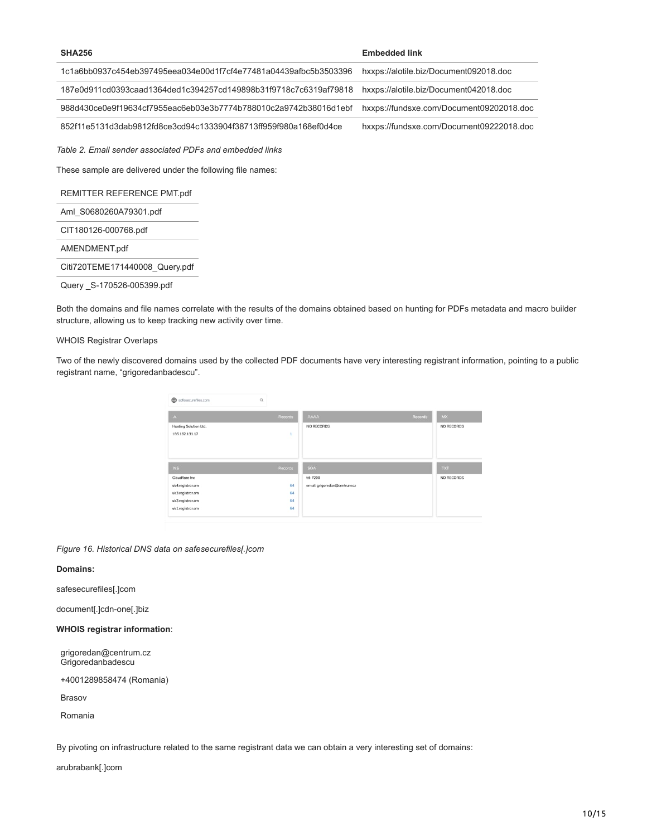| <b>SHA256</b>                                                    | <b>Embedded link</b>                     |
|------------------------------------------------------------------|------------------------------------------|
| 1c1a6bb0937c454eb397495eea034e00d1f7cf4e77481a04439afbc5b3503396 | hxxps://alotile.biz/Document092018.doc   |
| 187e0d911cd0393caad1364ded1c394257cd149898b31f9718c7c6319af79818 | hxxps://alotile.biz/Document042018.doc   |
| 988d430ce0e9f19634cf7955eac6eb03e3b7774b788010c2a9742b38016d1ebf | hxxps://fundsxe.com/Document09202018.doc |
| 852f11e5131d3dab9812fd8ce3cd94c1333904f38713ff959f980a168ef0d4ce | hxxps://fundsxe.com/Document09222018.doc |
| Table 2. Email sender associated PDFs and embedded links         |                                          |
| These sample are delivered under the following file names:       |                                          |
| REMITTER REFERENCE PMT.pdf                                       |                                          |
| Aml S0680260A79301.pdf                                           |                                          |
| CIT180126-000768.pdf                                             |                                          |
| AMENDMENT.pdf                                                    |                                          |
| Citi720TEME171440008_Query.pdf                                   |                                          |
| Query S-170526-005399.pdf                                        |                                          |

Both the domains and file names correlate with the results of the domains obtained based on hunting for PDFs metadata and macro builder structure, allowing us to keep tracking new activity over time.

# WHOIS Registrar Overlaps

Two of the newly discovered domains used by the collected PDF documents have very interesting registrant information, pointing to a public registrant name, "grigoredanbadescu".

| ⊕<br>$\alpha$<br>safesecurefiles.com |         |                              |         |            |
|--------------------------------------|---------|------------------------------|---------|------------|
| $\Lambda$                            | Records | <b>AAAA</b>                  | Records | <b>MX</b>  |
| Hosting Solution Ltd.                |         | NO RECORDS                   |         | NO RECORDS |
| 185.162.131.17                       | ī       |                              |         |            |
|                                      |         |                              |         |            |
| N <sub>S</sub>                       | Records | <b>SOA</b>                   |         | TXT        |
| Cloudflare Inc.                      |         | ttl: 7200                    |         | NO RECORDS |
| uk4.registrar.am                     | 64      | email: grigoredan@centrum.cz |         |            |
| uk3.registrar.am                     | 64      |                              |         |            |
| uk2.registrar.am                     | 64      |                              |         |            |
| uk1.registrar.am                     | 64      |                              |         |            |
|                                      |         |                              |         |            |

*Figure 16. Historical DNS data on safesecurefiles[.]com*

# **Domains:**

safesecurefiles[.]com

document[.]cdn-one[.]biz

# **WHOIS registrar information**:

grigoredan@centrum.cz Grigoredanbadescu

+4001289858474 (Romania)

Brasov

Romania

By pivoting on infrastructure related to the same registrant data we can obtain a very interesting set of domains:

arubrabank[.]com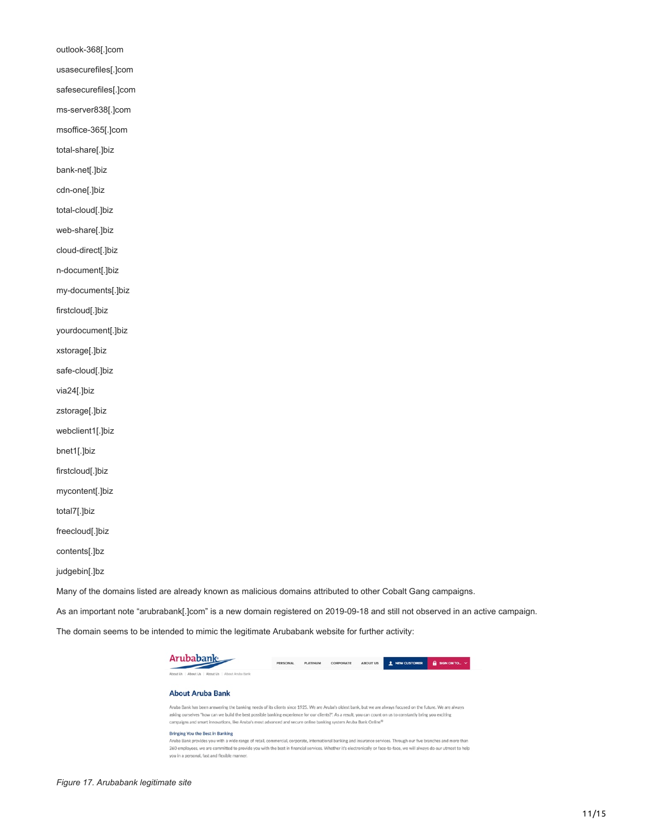outlook-368[.]com usasecurefiles[.]com safesecurefiles[.]com ms-server838[.]com msoffice-365[.]com total-share[.]biz bank-net[.]biz cdn-one[.]biz total-cloud[.]biz web-share[.]biz cloud-direct[.]biz n-document[.]biz my-documents[.]biz firstcloud[.]biz yourdocument[.]biz xstorage[.]biz safe-cloud[.]biz via24[.]biz zstorage[.]biz webclient1[.]biz bnet1[.]biz firstcloud[.]biz mycontent[.]biz total7[.]biz freecloud[.]biz contents[.]bz

judgebin[.]bz

Many of the domains listed are already known as malicious domains attributed to other Cobalt Gang campaigns.

As an important note "arubrabank[.]com" is a new domain registered on 2019-09-18 and still not observed in an active campaign.

The domain seems to be intended to mimic the legitimate Arubabank website for further activity:

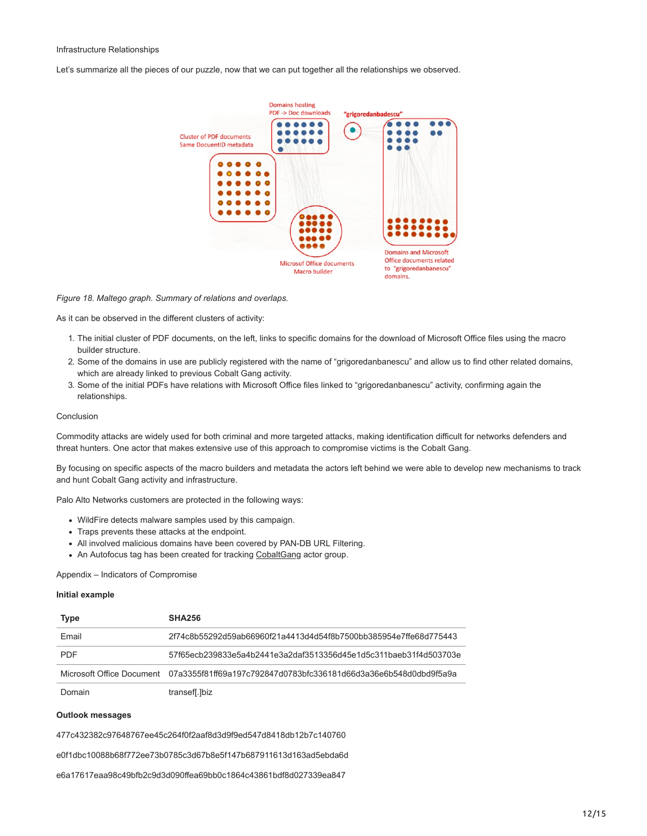#### Infrastructure Relationships

Let's summarize all the pieces of our puzzle, now that we can put together all the relationships we observed.



*Figure 18. Maltego graph. Summary of relations and overlaps.*

As it can be observed in the different clusters of activity:

- 1. The initial cluster of PDF documents, on the left, links to specific domains for the download of Microsoft Office files using the macro builder structure.
- 2. Some of the domains in use are publicly registered with the name of "grigoredanbanescu" and allow us to find other related domains, which are already linked to previous Cobalt Gang activity.
- 3. Some of the initial PDFs have relations with Microsoft Office files linked to "grigoredanbanescu" activity, confirming again the relationships.

# Conclusion

Commodity attacks are widely used for both criminal and more targeted attacks, making identification difficult for networks defenders and threat hunters. One actor that makes extensive use of this approach to compromise victims is the Cobalt Gang.

By focusing on specific aspects of the macro builders and metadata the actors left behind we were able to develop new mechanisms to track and hunt Cobalt Gang activity and infrastructure.

Palo Alto Networks customers are protected in the following ways:

- WildFire detects malware samples used by this campaign.
- Traps prevents these attacks at the endpoint.
- All involved malicious domains have been covered by PAN-DB URL Filtering.
- An Autofocus tag has been created for tracking [CobaltGang](https://autofocus.paloaltonetworks.com/#/tag/Unit42.CobaltGang) actor group.

# Appendix – Indicators of Compromise

# **Initial example**

| <b>Type</b> | <b>SHA256</b>                                                                              |
|-------------|--------------------------------------------------------------------------------------------|
| Email       | 2f74c8b55292d59ab66960f21a4413d4d54f8b7500bb385954e7ffe68d775443                           |
| <b>PDF</b>  | 57f65ecb239833e5a4b2441e3a2daf3513356d45e1d5c311baeb31f4d503703e                           |
|             | Microsoft Office Document 07a3355f81ff69a197c792847d0783bfc336181d66d3a36e6b548d0dbd9f5a9a |
| Domain      | transef[.]biz                                                                              |

#### **Outlook messages**

477c432382c97648767ee45c264f0f2aaf8d3d9f9ed547d8418db12b7c140760

e0f1dbc10088b68f772ee73b0785c3d67b8e5f147b687911613d163ad5ebda6d

e6a17617eaa98c49bfb2c9d3d090ffea69bb0c1864c43861bdf8d027339ea847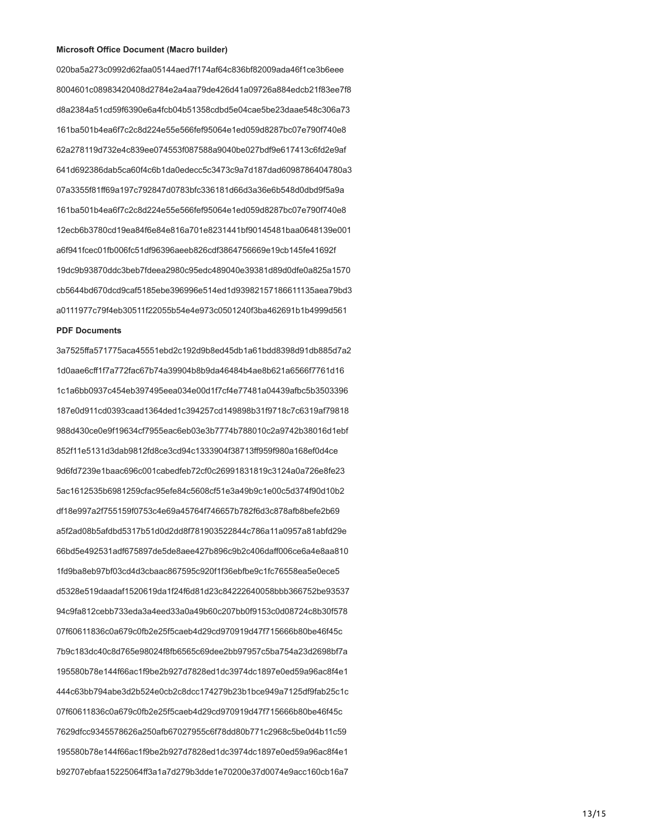#### **Microsoft Office Document (Macro builder)**

020ba5a273c0992d62faa05144aed7f174af64c836bf82009ada46f1ce3b6eee 8004601c08983420408d2784e2a4aa79de426d41a09726a884edcb21f83ee7f8 d8a2384a51cd59f6390e6a4fcb04b51358cdbd5e04cae5be23daae548c306a73 161ba501b4ea6f7c2c8d224e55e566fef95064e1ed059d8287bc07e790f740e8 62a278119d732e4c839ee074553f087588a9040be027bdf9e617413c6fd2e9af 641d692386dab5ca60f4c6b1da0edecc5c3473c9a7d187dad6098786404780a3 07a3355f81ff69a197c792847d0783bfc336181d66d3a36e6b548d0dbd9f5a9a 161ba501b4ea6f7c2c8d224e55e566fef95064e1ed059d8287bc07e790f740e8 12ecb6b3780cd19ea84f6e84e816a701e8231441bf90145481baa0648139e001 a6f941fcec01fb006fc51df96396aeeb826cdf3864756669e19cb145fe41692f 19dc9b93870ddc3beb7fdeea2980c95edc489040e39381d89d0dfe0a825a1570 cb5644bd670dcd9caf5185ebe396996e514ed1d93982157186611135aea79bd3 a0111977c79f4eb30511f22055b54e4e973c0501240f3ba462691b1b4999d561

### **PDF Documents**

3a7525ffa571775aca45551ebd2c192d9b8ed45db1a61bdd8398d91db885d7a2 1d0aae6cff1f7a772fac67b74a39904b8b9da46484b4ae8b621a6566f7761d16 1c1a6bb0937c454eb397495eea034e00d1f7cf4e77481a04439afbc5b3503396 187e0d911cd0393caad1364ded1c394257cd149898b31f9718c7c6319af79818 988d430ce0e9f19634cf7955eac6eb03e3b7774b788010c2a9742b38016d1ebf 852f11e5131d3dab9812fd8ce3cd94c1333904f38713ff959f980a168ef0d4ce 9d6fd7239e1baac696c001cabedfeb72cf0c26991831819c3124a0a726e8fe23 5ac1612535b6981259cfac95efe84c5608cf51e3a49b9c1e00c5d374f90d10b2 df18e997a2f755159f0753c4e69a45764f746657b782f6d3c878afb8befe2b69 a5f2ad08b5afdbd5317b51d0d2dd8f781903522844c786a11a0957a81abfd29e 66bd5e492531adf675897de5de8aee427b896c9b2c406daff006ce6a4e8aa810 1fd9ba8eb97bf03cd4d3cbaac867595c920f1f36ebfbe9c1fc76558ea5e0ece5 d5328e519daadaf1520619da1f24f6d81d23c84222640058bbb366752be93537 94c9fa812cebb733eda3a4eed33a0a49b60c207bb0f9153c0d08724c8b30f578 07f60611836c0a679c0fb2e25f5caeb4d29cd970919d47f715666b80be46f45c 7b9c183dc40c8d765e98024f8fb6565c69dee2bb97957c5ba754a23d2698bf7a 195580b78e144f66ac1f9be2b927d7828ed1dc3974dc1897e0ed59a96ac8f4e1 444c63bb794abe3d2b524e0cb2c8dcc174279b23b1bce949a7125df9fab25c1c 07f60611836c0a679c0fb2e25f5caeb4d29cd970919d47f715666b80be46f45c 7629dfcc9345578626a250afb67027955c6f78dd80b771c2968c5be0d4b11c59 195580b78e144f66ac1f9be2b927d7828ed1dc3974dc1897e0ed59a96ac8f4e1 b92707ebfaa15225064ff3a1a7d279b3dde1e70200e37d0074e9acc160cb16a7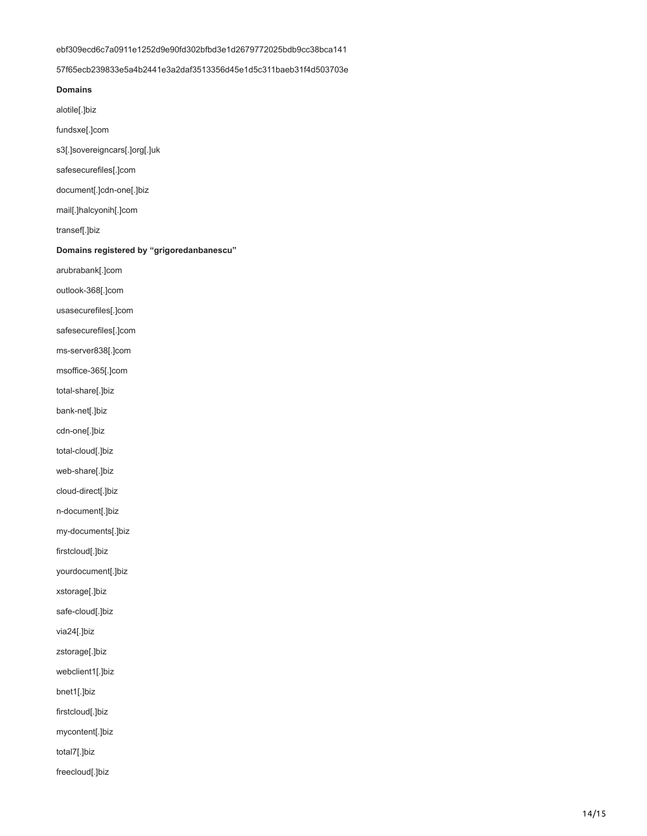# ebf309ecd6c7a0911e1252d9e90fd302bfbd3e1d2679772025bdb9cc38bca141

57f65ecb239833e5a4b2441e3a2daf3513356d45e1d5c311baeb31f4d503703e

**Domains**

alotile[.]biz

fundsxe[.]com

s3[.]sovereigncars[.]org[.]uk

safesecurefiles[.]com

document[.]cdn-one[.]biz

mail[.]halcyonih[.]com

transef[.]biz

**Domains registered by "grigoredanbanescu"**

arubrabank[.]com

outlook-368[.]com

usasecurefiles[.]com

safesecurefiles[.]com

ms-server838[.]com

msoffice-365[.]com

total-share[.]biz

bank-net[.]biz

cdn-one[.]biz

total-cloud[.]biz

web-share[.]biz

cloud-direct[.]biz

n-document[.]biz

my-documents[.]biz

firstcloud[.]biz

yourdocument[.]biz

xstorage[.]biz

safe-cloud[.]biz

via24[.]biz

zstorage[.]biz

webclient1[.]biz

bnet1[.]biz

firstcloud[.]biz

mycontent[.]biz

total7[.]biz

freecloud[.]biz